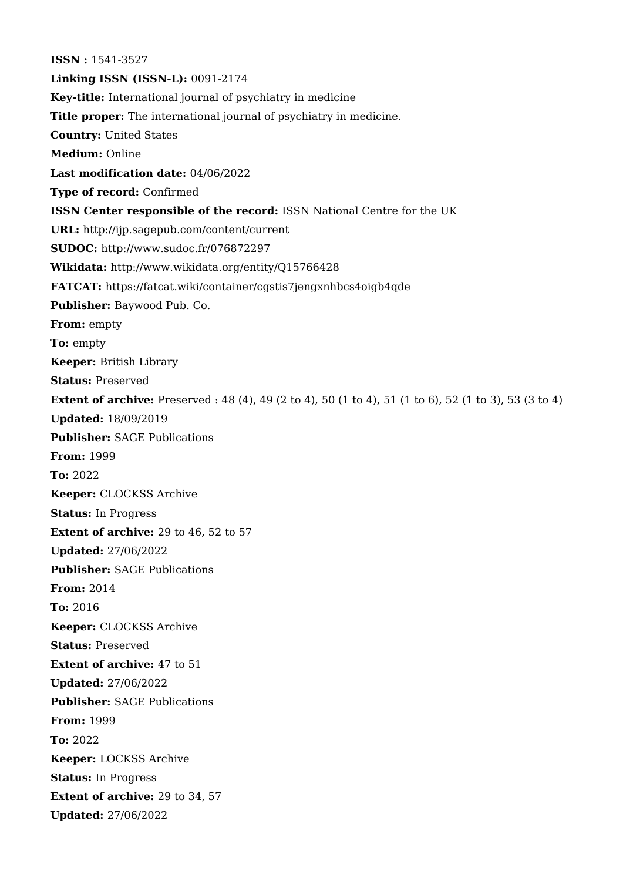**ISSN :** 1541-3527 **Linking ISSN (ISSN-L):** 0091-2174 **Key-title:** International journal of psychiatry in medicine **Title proper:** The international journal of psychiatry in medicine. **Country:** United States **Medium:** Online **Last modification date:** 04/06/2022 **Type of record:** Confirmed **ISSN Center responsible of the record:** ISSN National Centre for the UK **URL:** <http://ijp.sagepub.com/content/current> **SUDOC:** <http://www.sudoc.fr/076872297> **Wikidata:** <http://www.wikidata.org/entity/Q15766428> **FATCAT:** <https://fatcat.wiki/container/cgstis7jengxnhbcs4oigb4qde> **Publisher:** Baywood Pub. Co. **From:** empty **To:** empty **Keeper:** British Library **Status:** Preserved **Extent of archive:** Preserved : 48 (4), 49 (2 to 4), 50 (1 to 4), 51 (1 to 6), 52 (1 to 3), 53 (3 to 4) **Updated:** 18/09/2019 **Publisher:** SAGE Publications **From:** 1999 **To:** 2022 **Keeper:** CLOCKSS Archive **Status:** In Progress **Extent of archive:** 29 to 46, 52 to 57 **Updated:** 27/06/2022 **Publisher:** SAGE Publications **From:** 2014 **To:** 2016 **Keeper:** CLOCKSS Archive **Status:** Preserved **Extent of archive:** 47 to 51 **Updated:** 27/06/2022 **Publisher:** SAGE Publications **From:** 1999 **To:** 2022 **Keeper:** LOCKSS Archive **Status:** In Progress **Extent of archive:** 29 to 34, 57 **Updated:** 27/06/2022